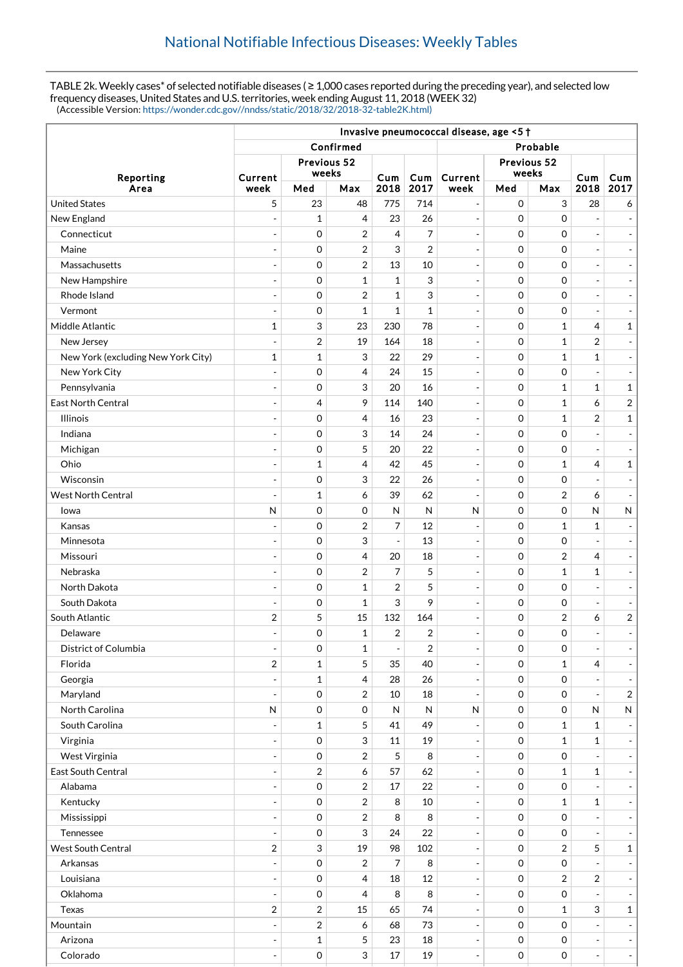TABLE 2k. Weekly cases\* of selected notifiable diseases ( $\geq 1,000$  cases reported during the preceding year), and selected low frequency diseases, United States and U.S. territories, week ending August 11, 2018 (WEEK 32) (Accessible Version: [https://wonder.cdc.gov//nndss/static/2018/32/2018-32-table2K.html\)](https://wonder.cdc.gov//nndss/static/2018/32/2018-32-table2K.html)

|                                    | Invasive pneumococcal disease, age <5 + |              |                |                          |                |                          |                     |                           |                          |                          |  |
|------------------------------------|-----------------------------------------|--------------|----------------|--------------------------|----------------|--------------------------|---------------------|---------------------------|--------------------------|--------------------------|--|
|                                    |                                         |              | Confirmed      |                          | Probable       |                          |                     |                           |                          |                          |  |
| Reporting<br>Area                  | Previous 52                             |              |                |                          |                |                          |                     |                           |                          |                          |  |
|                                    | Current                                 | weeks        |                | Cum                      | Cum            | Current                  |                     | Previous 52<br>weeks      |                          | Cum                      |  |
|                                    | week                                    | Med          | Max            | 2018                     | 2017           | week                     | Med<br>Max          |                           | Cum<br>2018              | 2017                     |  |
| <b>United States</b>               | 5                                       | 23           | 48             | 775                      | 714            | $\overline{\phantom{a}}$ | $\mathbf 0$         | $\ensuremath{\mathsf{3}}$ | 28                       | 6                        |  |
| New England                        | ÷,                                      | $\mathbf{1}$ | 4              | 23                       | 26             | $\overline{\phantom{a}}$ | $\Omega$            | $\mathbf 0$               | $\overline{a}$           |                          |  |
| Connecticut                        |                                         | 0            | 2              | 4                        | 7              | $\overline{\phantom{a}}$ | $\mathbf 0$         | $\mathbf 0$               |                          |                          |  |
| Maine                              | ÷,                                      | $\mathbf 0$  | 2              | 3                        | $\overline{2}$ | $\blacksquare$           | $\mathbf 0$         | $\mathbf 0$               | $\overline{a}$           | $\overline{\phantom{a}}$ |  |
| Massachusetts                      | ÷,                                      | 0            | 2              | 13                       | 10             | $\overline{\phantom{a}}$ | $\mathbf 0$         | $\mathbf 0$               | $\overline{a}$           | $\overline{\phantom{a}}$ |  |
| New Hampshire                      | ÷                                       | 0            | $\mathbf{1}$   | $\mathbf{1}$             | 3              | $\overline{\phantom{a}}$ | $\mathbf 0$         | $\mathbf 0$               | $\overline{a}$           | $\overline{\phantom{a}}$ |  |
| Rhode Island                       | $\overline{a}$                          | $\mathbf 0$  | 2              | $\mathbf{1}$             | 3              | $\overline{\phantom{a}}$ | $\mathbf 0$         | $\mathbf 0$               | $\overline{a}$           | $\overline{\phantom{a}}$ |  |
| Vermont                            | $\overline{\phantom{a}}$                | 0            | 1              | $\mathbf{1}$             | $\mathbf 1$    | $\blacksquare$           | $\mathbf 0$         | $\mathbf 0$               | $\overline{a}$           | $\overline{\phantom{a}}$ |  |
| Middle Atlantic                    | 1                                       | 3            | 23             | 230                      | 78             | $\overline{\phantom{a}}$ | $\mathbf 0$         | $\mathbf{1}$              | $\overline{4}$           | $\mathbf 1$              |  |
| New Jersey                         | $\overline{\phantom{a}}$                | 2            | 19             | 164                      | 18             | $\overline{\phantom{a}}$ | $\mathbf 0$         | $\mathbf{1}$              | $\overline{2}$           | $\overline{\phantom{m}}$ |  |
| New York (excluding New York City) | 1                                       | $\mathbf{1}$ | 3              | 22                       | 29             | $\overline{\phantom{a}}$ | $\mathbf 0$         | $\mathbf{1}$              | 1                        | $\overline{\phantom{a}}$ |  |
| New York City                      | $\blacksquare$                          | 0            | 4              | 24                       | 15             | $\blacksquare$           | $\mathbf 0$         | $\mathbf 0$               |                          |                          |  |
| Pennsylvania                       | ÷,                                      | 0            | 3              | 20                       | 16             | $\blacksquare$           | $\mathbf 0$         | $\mathbf{1}$              | $\mathbf{1}$             | $\mathbf 1$              |  |
| <b>East North Central</b>          | ÷,                                      | 4            | 9              | 114                      | 140            | $\overline{\phantom{a}}$ | $\mathbf 0$         | $\mathbf{1}$              | 6                        | $\sqrt{2}$               |  |
| Illinois                           | ÷                                       | 0            | 4              | 16                       | 23             | $\overline{\phantom{a}}$ | $\mathbf 0$         | $\mathbf{1}$              | $\overline{2}$           | $\mathbf 1$              |  |
| Indiana                            |                                         | 0            | 3              | 14                       | 24             | $\overline{\phantom{a}}$ | $\mathbf 0$         | $\mathbf 0$               |                          |                          |  |
| Michigan                           | $\blacksquare$                          | 0            | 5              | 20                       | 22             | $\blacksquare$           | $\mathbf 0$         | $\mathbf 0$               | $\overline{a}$           | $\overline{\phantom{a}}$ |  |
| Ohio                               | $\overline{\phantom{a}}$                | $\mathbf{1}$ | 4              | 42                       | 45             | $\overline{\phantom{a}}$ | $\mathbf 0$         | $\mathbf{1}$              | 4                        | $\mathbf{1}$             |  |
| Wisconsin                          | $\overline{\phantom{a}}$                | 0            | 3              | 22                       | 26             | $\overline{\phantom{a}}$ | $\mathbf 0$         | $\mathbf 0$               | $\overline{a}$           | $\overline{\phantom{a}}$ |  |
| <b>West North Central</b>          | ÷,                                      | 1            | 6              | 39                       | 62             | $\overline{\phantom{a}}$ | $\mathbf 0$         | $\overline{2}$            | 6                        | $\overline{\phantom{a}}$ |  |
| lowa                               | N                                       | 0            | 0              | N                        | $\mathsf{N}$   | N                        | $\mathbf 0$         | $\mathbf 0$               | N                        | ${\sf N}$                |  |
| Kansas                             |                                         | $\mathbf 0$  | 2              | 7                        | 12             | $\blacksquare$           | $\mathbf 0$         | $\mathbf{1}$              | $\mathbf{1}$             |                          |  |
| Minnesota                          | $\overline{a}$                          | 0            | 3              | $\overline{\phantom{a}}$ | 13             | $\blacksquare$           | $\mathbf 0$         | $\mathbf 0$               | $\overline{a}$           | $\overline{\phantom{a}}$ |  |
| Missouri                           | $\overline{\phantom{a}}$                | 0            | 4              | 20                       | 18             | $\overline{\phantom{a}}$ | $\mathbf 0$         | $\overline{2}$            | 4                        | $\overline{\phantom{a}}$ |  |
| Nebraska                           | $\overline{\phantom{a}}$                | 0            | 2              | 7                        | 5              | $\overline{\phantom{a}}$ | $\mathbf 0$         | $\mathbf{1}$              | 1                        |                          |  |
| North Dakota                       | $\overline{\phantom{a}}$                | 0            | $\mathbf 1$    | 2                        | 5              | $\overline{\phantom{a}}$ | $\mathbf 0$         | $\mathbf 0$               | $\overline{a}$           | $\blacksquare$           |  |
| South Dakota                       |                                         | 0            | 1              | 3                        | 9              | $\overline{\phantom{a}}$ | $\mathbf 0$         | $\mathbf 0$               | ÷,                       |                          |  |
| South Atlantic                     | 2                                       | 5            | 15             | 132                      | 164            | $\overline{\phantom{a}}$ | $\mathbf 0$         | $\overline{\mathbf{c}}$   | 6                        | $\sqrt{2}$               |  |
| Delaware                           |                                         | 0            | 1              | $\sqrt{2}$               | 2              | $\overline{\phantom{a}}$ | 0                   | $\mathbf 0$               | ÷,                       |                          |  |
| District of Columbia               | $\qquad \qquad \blacksquare$            | 0            | $\mathbf{1}$   | $\blacksquare$           | 2              | $\Box$                   | 0                   | 0                         | $\overline{a}$           |                          |  |
| Florida                            | $\boldsymbol{2}$                        | $\mathbf{1}$ | 5              | 35                       | 40             | $\overline{\phantom{a}}$ | $\mathbf 0$         | $\mathbf{1}$              | 4                        |                          |  |
| Georgia                            | $\qquad \qquad \blacksquare$            | 1            | 4              | 28                       | 26             | $\overline{\phantom{a}}$ | $\mathbf 0$         | 0                         | $\overline{\phantom{a}}$ |                          |  |
| Maryland                           | $\overline{\phantom{a}}$                | $\mathbf 0$  | 2              | 10                       | 18             | $\overline{\phantom{a}}$ | $\mathbf 0$         | 0                         | $\overline{a}$           | $\sqrt{2}$               |  |
| North Carolina                     | $\mathsf{N}$                            | $\mathbf 0$  | 0              | N                        | $\mathsf{N}$   | ${\sf N}$                | $\mathsf{O}\xspace$ | 0                         | N                        | ${\sf N}$                |  |
| South Carolina                     |                                         | $\mathbf 1$  | 5              | 41                       | 49             | $\blacksquare$           | $\mathsf{O}\xspace$ | $\mathbf{1}$              | $\mathbf{1}$             |                          |  |
| Virginia                           | ÷,                                      | $\mathbf 0$  | 3              | 11                       | 19             | $\overline{\phantom{a}}$ | 0                   | $\mathbf{1}$              | $\mathbf{1}$             |                          |  |
| West Virginia                      | ÷,                                      | $\mathbf 0$  | 2              | 5                        | 8              | $\overline{\phantom{a}}$ | $\mathbf 0$         | 0                         |                          |                          |  |
| East South Central                 |                                         | 2            | 6              | 57                       | 62             | $\blacksquare$           | $\mathsf{O}\xspace$ | $\mathbf{1}$              | 1                        |                          |  |
| Alabama                            | ÷,                                      | $\mathbf 0$  | $\overline{2}$ | 17                       | 22             | $\Box$                   | $\mathbf 0$         | $\mathsf{O}\xspace$       |                          |                          |  |
| Kentucky                           | ÷,                                      | $\,0\,$      | 2              | 8                        | $10\,$         | $\Box$                   | $\mathbf 0$         | $\mathbf{1}$              | $\mathbf 1$              |                          |  |
| Mississippi                        | $\overline{\phantom{a}}$                | $\mathbf 0$  | 2              | 8                        | 8              | $\overline{\phantom{a}}$ | $\mathbf 0$         | $\boldsymbol{0}$          | ÷,                       | $\overline{\phantom{a}}$ |  |
| Tennessee                          | $\overline{a}$                          | $\mathbf 0$  | 3              | 24                       | 22             | $\overline{\phantom{a}}$ | $\mathbf 0$         | 0                         | ÷,                       |                          |  |
| <b>West South Central</b>          | $\overline{c}$                          | 3            | 19             | 98                       | 102            | $\overline{\phantom{a}}$ | $\mathbf 0$         | $\overline{2}$            | 5                        | $\mathbf 1$              |  |
| Arkansas                           |                                         | $\mathbf 0$  | 2              | 7                        | 8              | $\overline{\phantom{a}}$ | $\mathbf 0$         | 0                         |                          |                          |  |
| Louisiana                          | ÷                                       | $\mathbf 0$  | 4              | 18                       | 12             | $\qquad \qquad -$        | $\mathbf 0$         | $\overline{2}$            | 2                        |                          |  |
| Oklahoma                           | $\overline{a}$                          | $\mathbf 0$  | 4              | 8                        | 8              | $\overline{\phantom{a}}$ | $\mathbf 0$         | 0                         |                          |                          |  |
| Texas                              | $\overline{c}$                          | 2            | 15             | 65                       | 74             | $\blacksquare$           | $\mathsf{O}\xspace$ | $\mathbf{1}$              | 3                        | $\mathbf 1$              |  |
| Mountain                           |                                         | 2            | 6              | 68                       | 73             | $\overline{\phantom{a}}$ | $\mathsf{O}\xspace$ | $\mathsf{O}\xspace$       |                          |                          |  |
| Arizona                            | ÷,                                      | $\mathbf{1}$ | 5              | 23                       | 18             | $\qquad \qquad -$        | $\mathsf{O}\xspace$ | 0                         | $\overline{a}$           |                          |  |
| Colorado                           | $\overline{\phantom{a}}$                | 0            | 3              | $17\,$                   | 19             | $\blacksquare$           | $\mathsf{O}\xspace$ | 0                         | $\blacksquare$           | $\Box$                   |  |
|                                    |                                         |              |                |                          |                |                          |                     |                           |                          |                          |  |